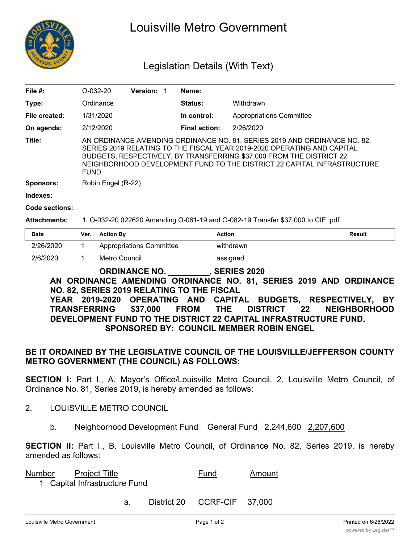

# Louisville Metro Government

# Legislation Details (With Text)

| File $#$ :       | $O-032-20$                                                                                                                                                                                                                                                                                                       | <b>Version: 1</b> |  | Name:                |                                 |  |
|------------------|------------------------------------------------------------------------------------------------------------------------------------------------------------------------------------------------------------------------------------------------------------------------------------------------------------------|-------------------|--|----------------------|---------------------------------|--|
| Type:            | Ordinance                                                                                                                                                                                                                                                                                                        |                   |  | Status:              | Withdrawn                       |  |
| File created:    | 1/31/2020                                                                                                                                                                                                                                                                                                        |                   |  | In control:          | <b>Appropriations Committee</b> |  |
| On agenda:       | 2/12/2020                                                                                                                                                                                                                                                                                                        |                   |  | <b>Final action:</b> | 2/26/2020                       |  |
| Title:           | AN ORDINANCE AMENDING ORDINANCE NO. 81, SERIES 2019 AND ORDINANCE NO. 82,<br>SERIES 2019 RELATING TO THE FISCAL YEAR 2019-2020 OPERATING AND CAPITAL<br>BUDGETS, RESPECTIVELY, BY TRANSFERRING \$37,000 FROM THE DISTRICT 22<br>NEIGHBORHOOD DEVELOPMENT FUND TO THE DISTRICT 22 CAPITAL INFRASTRUCTURE<br>FUND. |                   |  |                      |                                 |  |
| <b>Sponsors:</b> | Robin Engel (R-22)                                                                                                                                                                                                                                                                                               |                   |  |                      |                                 |  |
| Indexes:         |                                                                                                                                                                                                                                                                                                                  |                   |  |                      |                                 |  |
| Code sections:   |                                                                                                                                                                                                                                                                                                                  |                   |  |                      |                                 |  |

#### **Attachments:** 1. O-032-20 022620 Amending O-081-19 and O-082-19 Transfer \$37,000 to CIF .pdf

| <b>Date</b> | Ver. | <b>Action By</b>                | <b>Action</b> | <b>Result</b> |
|-------------|------|---------------------------------|---------------|---------------|
| 2/26/2020   |      | <b>Appropriations Committee</b> | withdrawn     |               |
| 2/6/2020    |      | Metro Council                   | assigned      |               |

### **ORDINANCE NO. \_\_\_\_\_\_\_\_\_, SERIES 2020 AN ORDINANCE AMENDING ORDINANCE NO. 81, SERIES 2019 AND ORDINANCE NO. 82, SERIES 2019 RELATING TO THE FISCAL YEAR 2019-2020 OPERATING AND CAPITAL BUDGETS, RESPECTIVELY, BY TRANSFERRING \$37,000 FROM THE DISTRICT 22 NEIGHBORHOOD DEVELOPMENT FUND TO THE DISTRICT 22 CAPITAL INFRASTRUCTURE FUND. SPONSORED BY: COUNCIL MEMBER ROBIN ENGEL**

## **BE IT ORDAINED BY THE LEGISLATIVE COUNCIL OF THE LOUISVILLE/JEFFERSON COUNTY METRO GOVERNMENT (THE COUNCIL) AS FOLLOWS:**

**SECTION I:** Part I., A. Mayor's Office/Louisville Metro Council, 2. Louisville Metro Council, of Ordinance No. 81, Series 2019, is hereby amended as follows:

- 2. LOUISVILLE METRO COUNCIL
	- b. Neighborhood Development Fund General Fund 2,244,600 2,207,600

**SECTION II:** Part I., B. Louisville Metro Council, of Ordinance No. 82, Series 2019, is hereby amended as follows:

| <b>Number</b> | <b>Project Title</b> | Fund | Amount |
|---------------|----------------------|------|--------|
|               |                      |      |        |

1 Capital Infrastructure Fund

a. District 20 CCRF-CIF 37,000